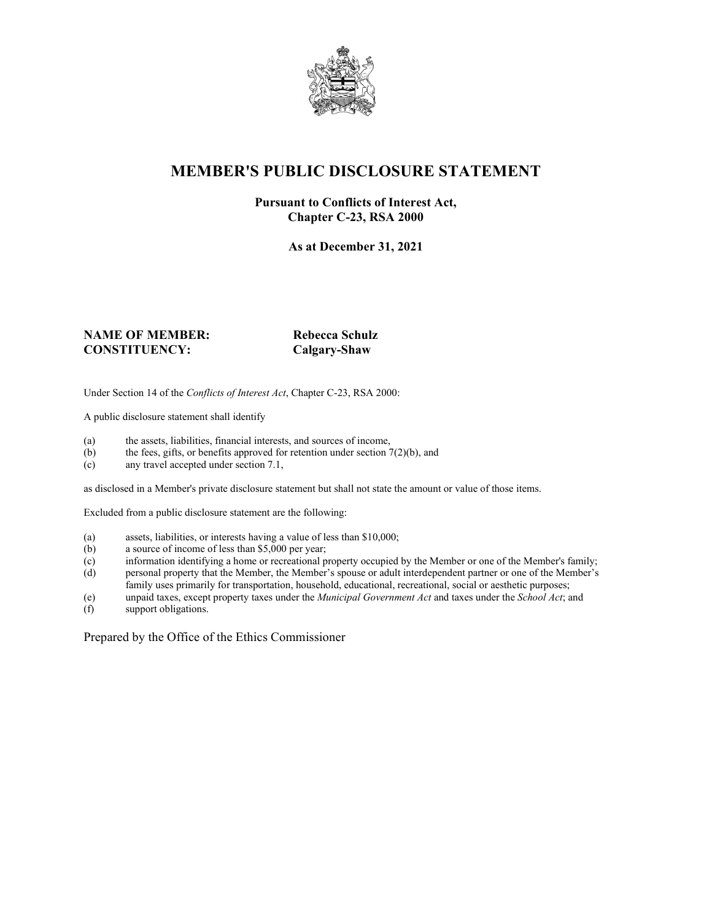

### **MEMBER'S PUBLIC DISCLOSURE STATEMENT**

#### **Pursuant to Conflicts of Interest Act, Chapter C-23, RSA 2000**

**As at December 31, 2021**

#### **NAME OF MEMBER:** Rebecca Schulz **CONSTITUENCY: Calgary-Shaw**

Under Section 14 of the *Conflicts of Interest Act*, Chapter C-23, RSA 2000:

A public disclosure statement shall identify

- (a) the assets, liabilities, financial interests, and sources of income,  $(b)$  the fees, gifts, or benefits approved for retention under section 7
- the fees, gifts, or benefits approved for retention under section  $7(2)(b)$ , and
- (c) any travel accepted under section 7.1,

as disclosed in a Member's private disclosure statement but shall not state the amount or value of those items.

Excluded from a public disclosure statement are the following:

- (a) assets, liabilities, or interests having a value of less than \$10,000;<br>(b) a source of income of less than \$5,000 per year;
- a source of income of less than  $$5,000$  per year;
- (c) information identifying a home or recreational property occupied by the Member or one of the Member's family;
- (d) personal property that the Member, the Member's spouse or adult interdependent partner or one of the Member's family uses primarily for transportation, household, educational, recreational, social or aesthetic purposes;
- (e) unpaid taxes, except property taxes under the *Municipal Government Act* and taxes under the *School Act*; and
- (f) support obligations.

Prepared by the Office of the Ethics Commissioner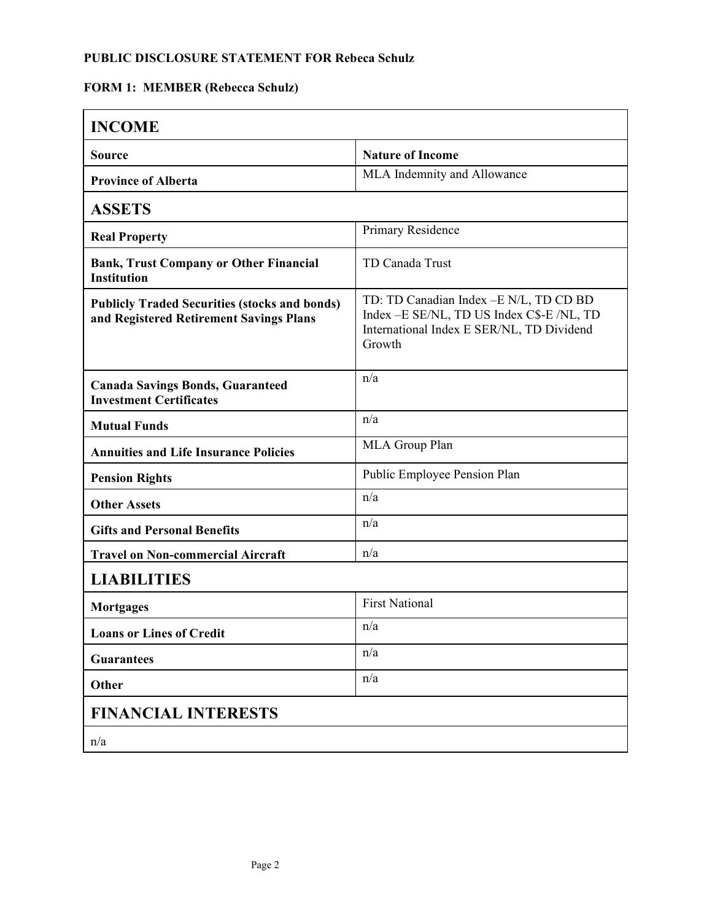#### **PUBLIC DISCLOSURE STATEMENT FOR Rebeca Schulz**

# **FORM 1: MEMBER (Rebecca Schulz)**

| <b>INCOME</b>                                                                                   |                                                                                                                                              |
|-------------------------------------------------------------------------------------------------|----------------------------------------------------------------------------------------------------------------------------------------------|
| <b>Source</b>                                                                                   | <b>Nature of Income</b>                                                                                                                      |
| <b>Province of Alberta</b>                                                                      | MLA Indemnity and Allowance                                                                                                                  |
| <b>ASSETS</b>                                                                                   |                                                                                                                                              |
| <b>Real Property</b>                                                                            | Primary Residence                                                                                                                            |
| <b>Bank, Trust Company or Other Financial</b><br><b>Institution</b>                             | TD Canada Trust                                                                                                                              |
| <b>Publicly Traded Securities (stocks and bonds)</b><br>and Registered Retirement Savings Plans | TD: TD Canadian Index - E N/L, TD CD BD<br>Index - E SE/NL, TD US Index C\$-E /NL, TD<br>International Index E SER/NL, TD Dividend<br>Growth |
| <b>Canada Savings Bonds, Guaranteed</b><br><b>Investment Certificates</b>                       | n/a                                                                                                                                          |
| <b>Mutual Funds</b>                                                                             | n/a                                                                                                                                          |
| <b>Annuities and Life Insurance Policies</b>                                                    | MLA Group Plan                                                                                                                               |
| <b>Pension Rights</b>                                                                           | Public Employee Pension Plan                                                                                                                 |
| <b>Other Assets</b>                                                                             | n/a                                                                                                                                          |
| <b>Gifts and Personal Benefits</b>                                                              | n/a                                                                                                                                          |
| <b>Travel on Non-commercial Aircraft</b>                                                        | n/a                                                                                                                                          |
| <b>LIABILITIES</b>                                                                              |                                                                                                                                              |
| <b>Mortgages</b>                                                                                | <b>First National</b>                                                                                                                        |
| <b>Loans or Lines of Credit</b>                                                                 | n/a                                                                                                                                          |
| <b>Guarantees</b>                                                                               | n/a                                                                                                                                          |
| Other                                                                                           | n/a                                                                                                                                          |
| <b>FINANCIAL INTERESTS</b>                                                                      |                                                                                                                                              |
| n/a                                                                                             |                                                                                                                                              |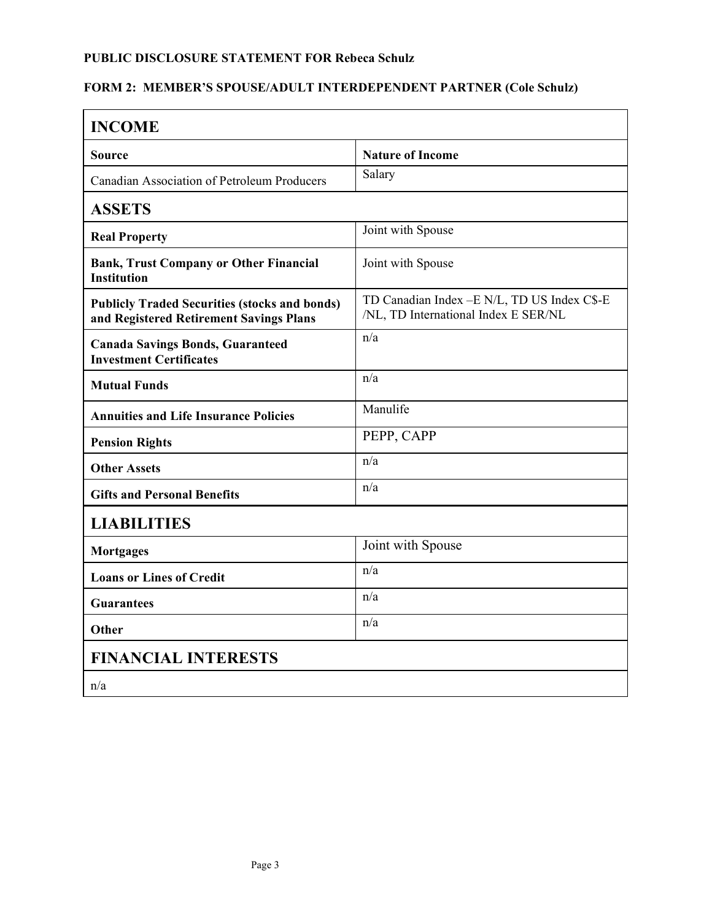#### **PUBLIC DISCLOSURE STATEMENT FOR Rebeca Schulz**

### **FORM 2: MEMBER'S SPOUSE/ADULT INTERDEPENDENT PARTNER (Cole Schulz)**

| <b>INCOME</b>                                                                                   |                                                                                      |  |
|-------------------------------------------------------------------------------------------------|--------------------------------------------------------------------------------------|--|
| Source                                                                                          | <b>Nature of Income</b>                                                              |  |
| Canadian Association of Petroleum Producers                                                     | Salary                                                                               |  |
| <b>ASSETS</b>                                                                                   |                                                                                      |  |
| <b>Real Property</b>                                                                            | Joint with Spouse                                                                    |  |
| <b>Bank, Trust Company or Other Financial</b><br><b>Institution</b>                             | Joint with Spouse                                                                    |  |
| <b>Publicly Traded Securities (stocks and bonds)</b><br>and Registered Retirement Savings Plans | TD Canadian Index - E N/L, TD US Index C\$-E<br>/NL, TD International Index E SER/NL |  |
| <b>Canada Savings Bonds, Guaranteed</b><br><b>Investment Certificates</b>                       | n/a                                                                                  |  |
| <b>Mutual Funds</b>                                                                             | n/a                                                                                  |  |
| <b>Annuities and Life Insurance Policies</b>                                                    | Manulife                                                                             |  |
| <b>Pension Rights</b>                                                                           | PEPP, CAPP                                                                           |  |
| <b>Other Assets</b>                                                                             | n/a                                                                                  |  |
| <b>Gifts and Personal Benefits</b>                                                              | n/a                                                                                  |  |
| <b>LIABILITIES</b>                                                                              |                                                                                      |  |
| <b>Mortgages</b>                                                                                | Joint with Spouse                                                                    |  |
| <b>Loans or Lines of Credit</b>                                                                 | n/a                                                                                  |  |
| <b>Guarantees</b>                                                                               | n/a                                                                                  |  |
| <b>Other</b>                                                                                    | n/a                                                                                  |  |
| <b>FINANCIAL INTERESTS</b>                                                                      |                                                                                      |  |
| n/a                                                                                             |                                                                                      |  |